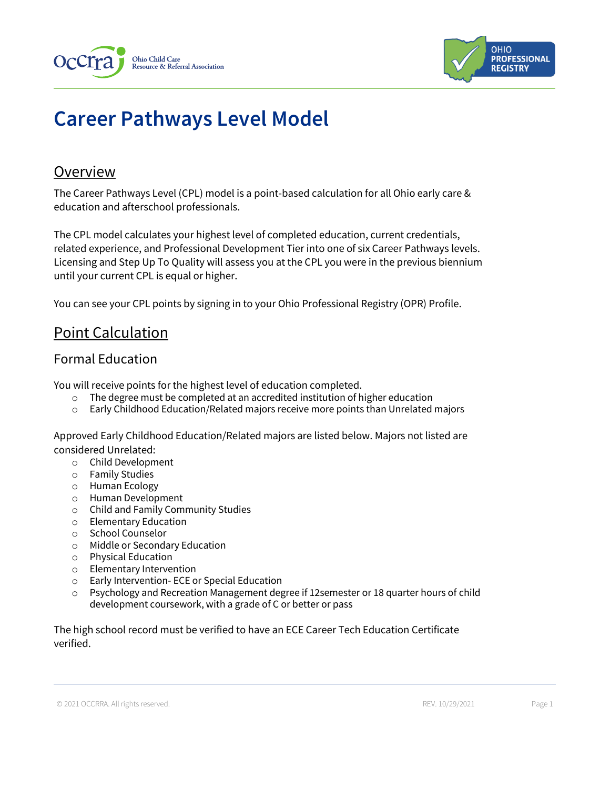



# **Career Pathways Level Model**

#### **Overview**

The Career Pathways Level (CPL) model is a point-based calculation for all Ohio early care & education and afterschool professionals.

The CPL model calculates your highest level of completed education, current credentials, related experience, and Professional Development Tier into one of six Career Pathways levels. Licensing and Step Up To Quality will assess you at the CPL you were in the previous biennium until your current CPL is equal or higher.

You can see your CPL points by signing in to your Ohio Professional Registry (OPR) Profile.

## Point Calculation

#### Formal Education

You will receive points for the highest level of education completed.

- o The degree must be completed at an accredited institution of higher education
- o Early Childhood Education/Related majors receive more points than Unrelated majors

Approved Early Childhood Education/Related majors are listed below. Majors not listed are considered Unrelated:

- o Child Development
- o Family Studies
- o Human Ecology
- o Human Development
- o Child and Family Community Studies
- o Elementary Education
- o School Counselor
- o Middle or Secondary Education
- o Physical Education
- o Elementary Intervention
- o Early Intervention- ECE or Special Education
- $\circ$  Psychology and Recreation Management degree if 12 semester or 18 quarter hours of child development coursework, with a grade of C or better or pass

The high school record must be verified to have an ECE Career Tech Education Certificate verified.

© 2021 OCCRRA. All rights reserved. REV. 10/29/2021 Page 1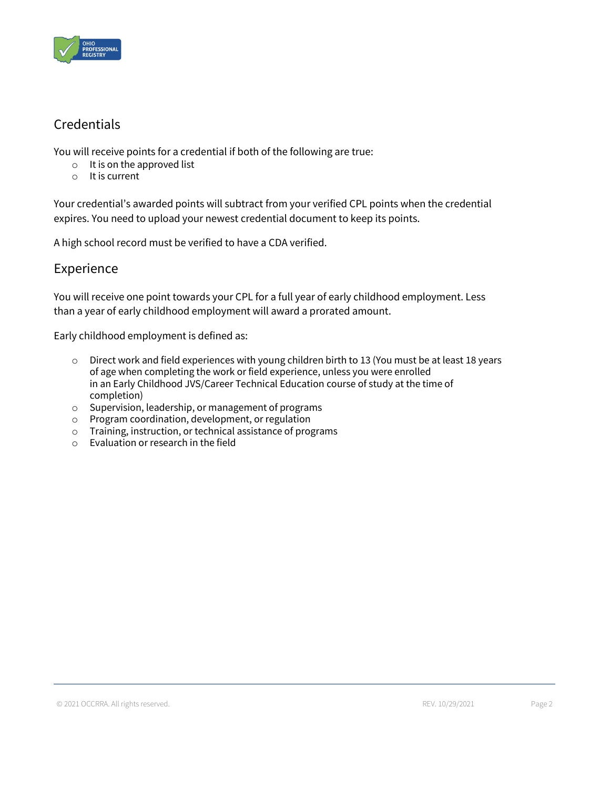

## **Credentials**

You will receive points for a credential if both of the following are true:

- o It is on the approved list
- o It is current

Your credential's awarded points will subtract from your verified CPL points when the credential expires. You need to upload your newest credential document to keep its points.

A high school record must be verified to have a CDA verified.

#### Experience

You will receive one point towards your CPL for a full year of early childhood employment. Less than a year of early childhood employment will award a prorated amount.

Early childhood employment is defined as:

- $\circ$  Direct work and field experiences with young children birth to 13 (You must be at least 18 years of age when completing the work or field experience, unless you were enrolled in an Early Childhood JVS/Career Technical Education course of study at the time of completion)
- o Supervision, leadership, or management of programs
- o Program coordination, development, or regulation
- o Training, instruction, or technical assistance of programs
- o Evaluation or research in the field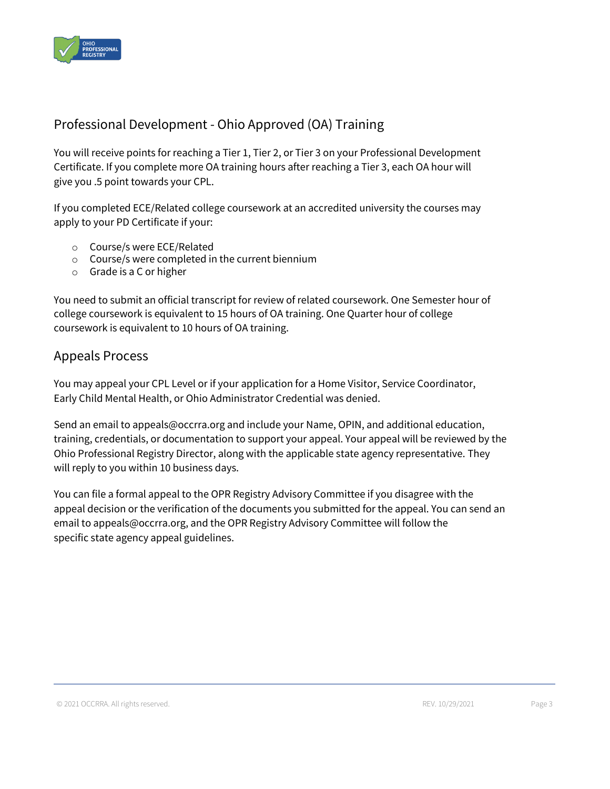

## Professional Development - Ohio Approved (OA) Training

You will receive points for reaching a Tier 1, Tier 2, or Tier 3 on your Professional Development Certificate. If you complete more OA training hours after reaching a Tier 3, each OA hour will give you .5 point towards your CPL.

If you completed ECE/Related college coursework at an accredited university the courses may apply to your PD Certificate if your:

- o Course/s were ECE/Related
- o Course/s were completed in the current biennium
- o Grade is a C or higher

You need to submit an official transcript for review of related coursework. One Semester hour of college coursework is equivalent to 15 hours of OA training. One Quarter hour of college coursework is equivalent to 10 hours of OA training.

#### Appeals Process

You may appeal your CPL Level or if your application for a Home Visitor, Service Coordinator, Early Child Mental Health, or Ohio Administrator Credential was denied.

Send an email to appeals@occrra.org and include your Name, OPIN, and additional education, training, credentials, or documentation to support your appeal. Your appeal will be reviewed by the Ohio Professional Registry Director, along with the applicable state agency representative. They will reply to you within 10 business days.

You can file a formal appeal to the OPR Registry Advisory Committee if you disagree with the appeal decision or the verification of the documents you submitted for the appeal. You can send an email to appeals@occrra.org, and the OPR Registry Advisory Committee will follow the specific state agency appeal guidelines.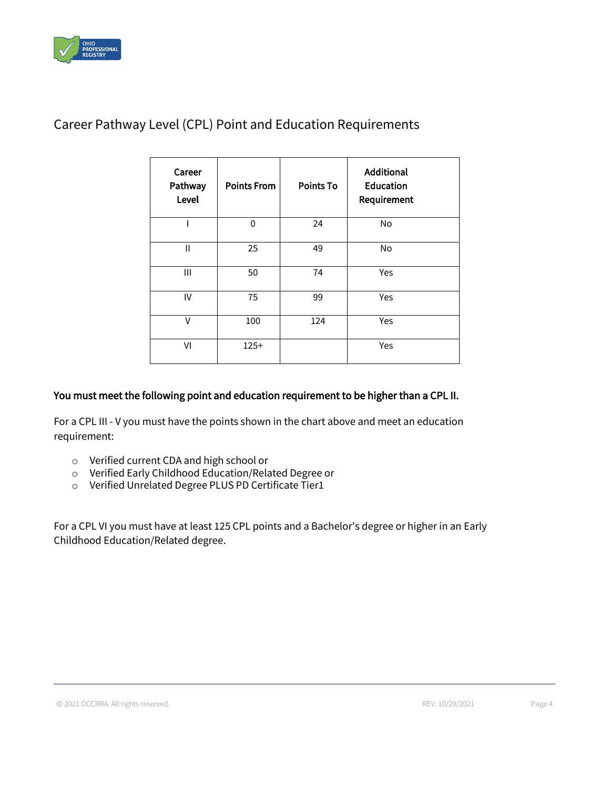

| Career<br>Pathway<br>Level | <b>Points From</b> | <b>Points To</b> | <b>Additional</b><br><b>Education</b><br>Requirement |
|----------------------------|--------------------|------------------|------------------------------------------------------|
|                            | $\mathbf{0}$       | 24               | No                                                   |
| Ш                          | 25                 | 49               | No                                                   |
| Ш                          | 50                 | 74               | Yes                                                  |
| IV                         | 75                 | 99               | Yes                                                  |
| V                          | 100                | 124              | Yes                                                  |
| VI                         | $125+$             |                  | Yes                                                  |

#### Career Pathway Level (CPL) Point and Education Requirements

#### You must meet the following point and education requirement to be higher than a CPL II.

For a CPL III - V you must have the points shown in the chart above and meet an education requirement:

- o Verified current CDA and high school or
- o Verified Early Childhood Education/Related Degree or
- o Verified Unrelated Degree PLUS PD Certificate Tier1

For a CPL VI you must have at least 125 CPL points and a Bachelor's degree or higher in an Early Childhood Education/Related degree.